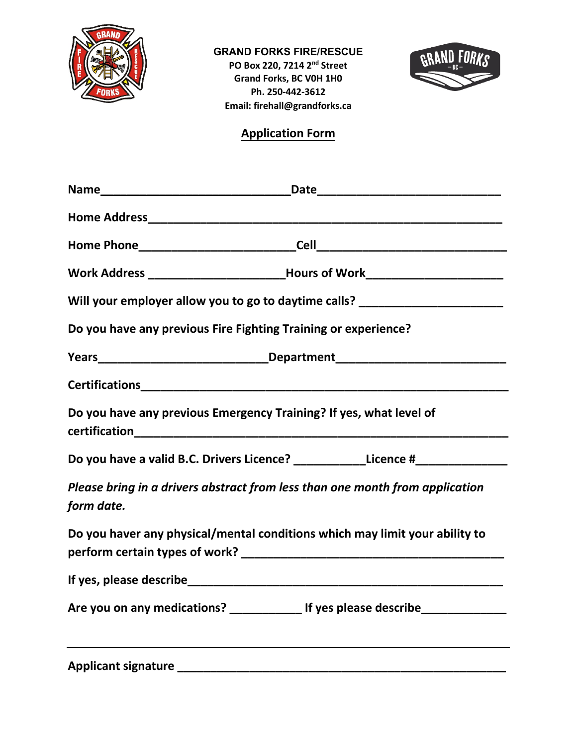



## **Application Form**

|                                                                                  | Work Address ________________________________Hours of Work______________________ |  |  |  |  |  |  |  |  |  |
|----------------------------------------------------------------------------------|----------------------------------------------------------------------------------|--|--|--|--|--|--|--|--|--|
| Will your employer allow you to go to daytime calls? ___________________________ |                                                                                  |  |  |  |  |  |  |  |  |  |
|                                                                                  | Do you have any previous Fire Fighting Training or experience?                   |  |  |  |  |  |  |  |  |  |
|                                                                                  |                                                                                  |  |  |  |  |  |  |  |  |  |
|                                                                                  |                                                                                  |  |  |  |  |  |  |  |  |  |
|                                                                                  | Do you have any previous Emergency Training? If yes, what level of               |  |  |  |  |  |  |  |  |  |
|                                                                                  | Do you have a valid B.C. Drivers Licence? _____________Licence #________________ |  |  |  |  |  |  |  |  |  |
| form date.                                                                       | Please bring in a drivers abstract from less than one month from application     |  |  |  |  |  |  |  |  |  |
|                                                                                  | Do you haver any physical/mental conditions which may limit your ability to      |  |  |  |  |  |  |  |  |  |
|                                                                                  |                                                                                  |  |  |  |  |  |  |  |  |  |
|                                                                                  | Are you on any medications? ________________ If yes please describe ____________ |  |  |  |  |  |  |  |  |  |
|                                                                                  |                                                                                  |  |  |  |  |  |  |  |  |  |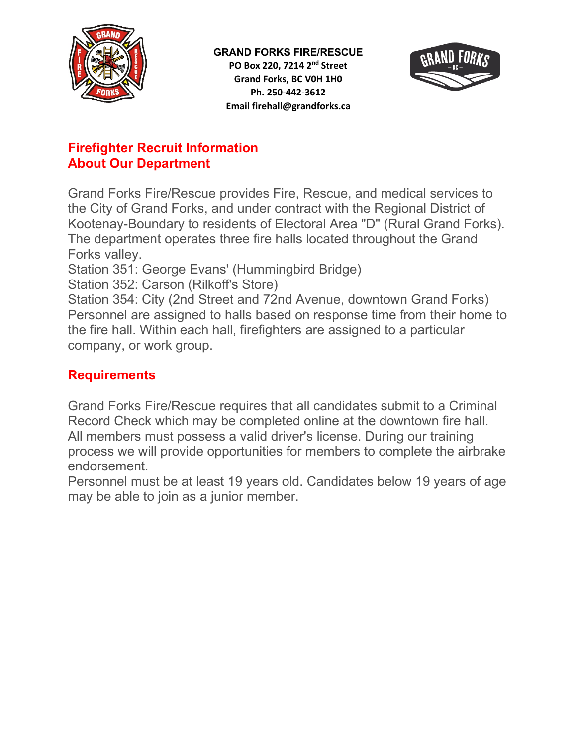



## **Firefighter Recruit Information About Our Department**

Grand Forks Fire/Rescue provides Fire, Rescue, and medical services to the City of Grand Forks, and under contract with the Regional District of Kootenay-Boundary to residents of Electoral Area "D" (Rural Grand Forks). The department operates three fire halls located throughout the Grand Forks valley.

Station 351: George Evans' (Hummingbird Bridge)

Station 352: Carson (Rilkoff's Store)

Station 354: City (2nd Street and 72nd Avenue, downtown Grand Forks) Personnel are assigned to halls based on response time from their home to the fire hall. Within each hall, firefighters are assigned to a particular company, or work group.

# **Requirements**

Grand Forks Fire/Rescue requires that all candidates submit to a Criminal Record Check which may be completed online at the downtown fire hall. All members must possess a valid driver's license. During our training process we will provide opportunities for members to complete the airbrake endorsement.

Personnel must be at least 19 years old. Candidates below 19 years of age may be able to join as a junior member.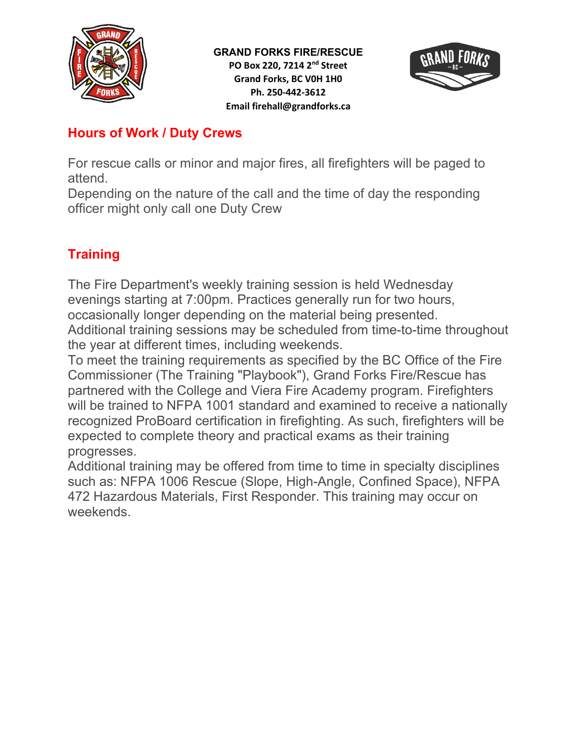



### **Hours of Work / Duty Crews**

For rescue calls or minor and major fires, all firefighters will be paged to attend.

Depending on the nature of the call and the time of day the responding officer might only call one Duty Crew

# **Training**

The Fire Department's weekly training session is held Wednesday evenings starting at 7:00pm. Practices generally run for two hours, occasionally longer depending on the material being presented. Additional training sessions may be scheduled from time-to-time throughout the year at different times, including weekends.

To meet the training requirements as specified by the BC Office of the Fire Commissioner (The Training "Playbook"), Grand Forks Fire/Rescue has partnered with the College and Viera Fire Academy program. Firefighters will be trained to NFPA 1001 standard and examined to receive a nationally recognized ProBoard certification in firefighting. As such, firefighters will be expected to complete theory and practical exams as their training progresses.

Additional training may be offered from time to time in specialty disciplines such as: NFPA 1006 Rescue (Slope, High-Angle, Confined Space), NFPA 472 Hazardous Materials, First Responder. This training may occur on weekends.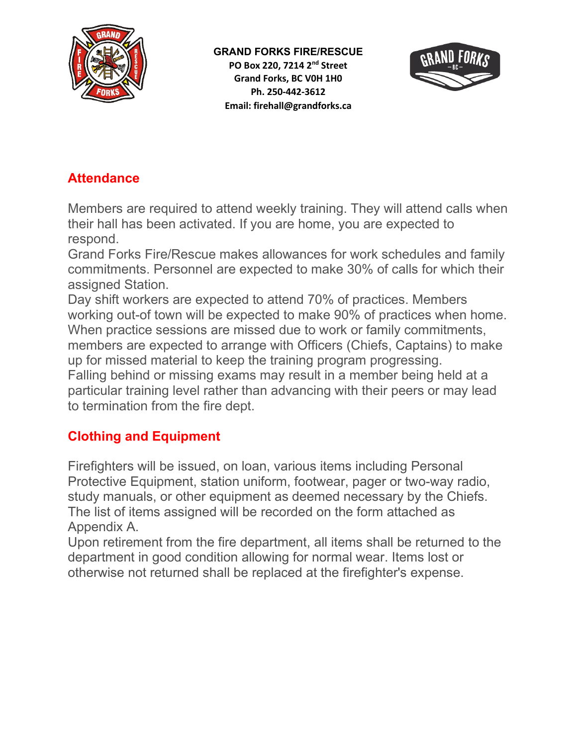

**GRAND FORKS FIRE/RESCUE PO Box 220, 7214 2 nd Street Grand Forks, BC V0H 1H0 Ph. 250-442-3612 Email: firehall@grandforks.ca**



## **Attendance**

Members are required to attend weekly training. They will attend calls when their hall has been activated. If you are home, you are expected to respond.

Grand Forks Fire/Rescue makes allowances for work schedules and family commitments. Personnel are expected to make 30% of calls for which their assigned Station.

Day shift workers are expected to attend 70% of practices. Members working out-of town will be expected to make 90% of practices when home. When practice sessions are missed due to work or family commitments, members are expected to arrange with Officers (Chiefs, Captains) to make up for missed material to keep the training program progressing. Falling behind or missing exams may result in a member being held at a particular training level rather than advancing with their peers or may lead to termination from the fire dept.

## **Clothing and Equipment**

Firefighters will be issued, on loan, various items including Personal Protective Equipment, station uniform, footwear, pager or two-way radio, study manuals, or other equipment as deemed necessary by the Chiefs. The list of items assigned will be recorded on the form attached as Appendix A.

Upon retirement from the fire department, all items shall be returned to the department in good condition allowing for normal wear. Items lost or otherwise not returned shall be replaced at the firefighter's expense.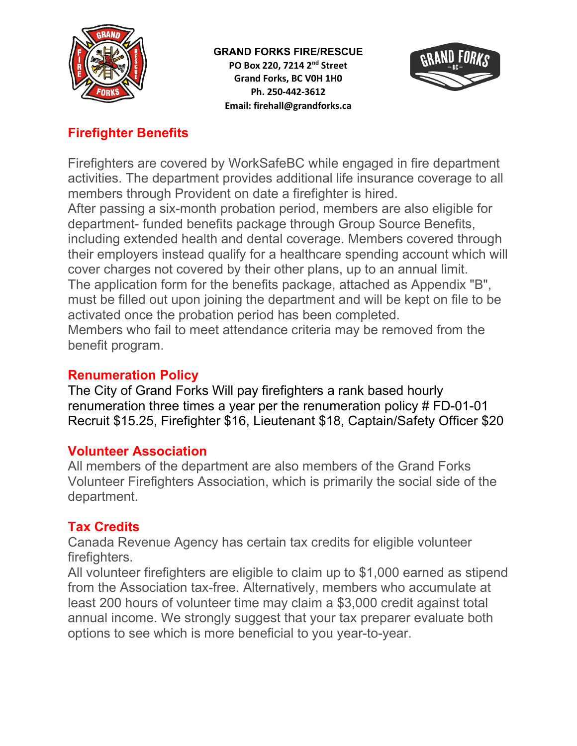

**GRAND FORKS FIRE/RESCUE PO Box 220, 7214 2 nd Street Grand Forks, BC V0H 1H0 Ph. 250-442-3612 Email: firehall@grandforks.ca**



# **Firefighter Benefits**

Firefighters are covered by WorkSafeBC while engaged in fire department activities. The department provides additional life insurance coverage to all members through Provident on date a firefighter is hired.

After passing a six-month probation period, members are also eligible for department- funded benefits package through Group Source Benefits, including extended health and dental coverage. Members covered through their employers instead qualify for a healthcare spending account which will cover charges not covered by their other plans, up to an annual limit. The application form for the benefits package, attached as Appendix "B", must be filled out upon joining the department and will be kept on file to be activated once the probation period has been completed. Members who fail to meet attendance criteria may be removed from the benefit program.

#### **Renumeration Policy**

The City of Grand Forks Will pay firefighters a rank based hourly renumeration three times a year per the renumeration policy # FD-01-01 Recruit \$15.25, Firefighter \$16, Lieutenant \$18, Captain/Safety Officer \$20

#### **Volunteer Association**

All members of the department are also members of the Grand Forks Volunteer Firefighters Association, which is primarily the social side of the department.

#### **Tax Credits**

Canada Revenue Agency has certain tax credits for eligible volunteer firefighters.

All volunteer firefighters are eligible to claim up to \$1,000 earned as stipend from the Association tax-free. Alternatively, members who accumulate at least 200 hours of volunteer time may claim a \$3,000 credit against total annual income. We strongly suggest that your tax preparer evaluate both options to see which is more beneficial to you year-to-year.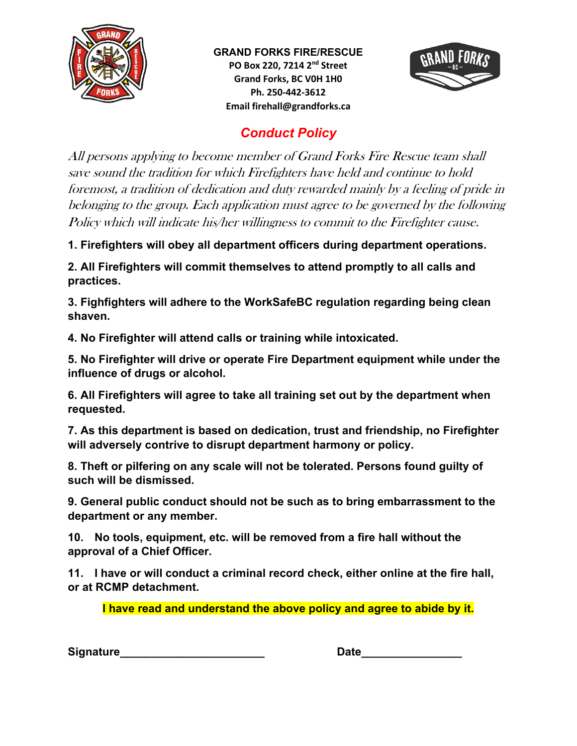

**GRAND FORKS FIRE/RESCUE PO Box 220, 7214 2nd Street Grand Forks, BC V0H 1H0 Ph. 250-442-3612 Email firehall@grandforks.ca**



# *Conduct Policy*

All persons applying to become member of Grand Forks Fire Rescue team shall save sound the tradition for which Firefighters have held and continue to hold foremost, a tradition of dedication and duty rewarded mainly by a feeling of pride in belonging to the group. Each application must agree to be governed by the following Policy which will indicate his/her willingness to commit to the Firefighter cause.

**1. Firefighters will obey all department officers during department operations.**

**2. All Firefighters will commit themselves to attend promptly to all calls and practices.**

**3. Fighfighters will adhere to the WorkSafeBC regulation regarding being clean shaven.**

**4. No Firefighter will attend calls or training while intoxicated.**

**5. No Firefighter will drive or operate Fire Department equipment while under the influence of drugs or alcohol.**

**6. All Firefighters will agree to take all training set out by the department when requested.**

**7. As this department is based on dedication, trust and friendship, no Firefighter will adversely contrive to disrupt department harmony or policy.**

**8. Theft or pilfering on any scale will not be tolerated. Persons found guilty of such will be dismissed.**

**9. General public conduct should not be such as to bring embarrassment to the department or any member.**

**10. No tools, equipment, etc. will be removed from a fire hall without the approval of a Chief Officer.**

**11. I have or will conduct a criminal record check, either online at the fire hall, or at RCMP detachment.**

**I have read and understand the above policy and agree to abide by it.**

**Signature** Date